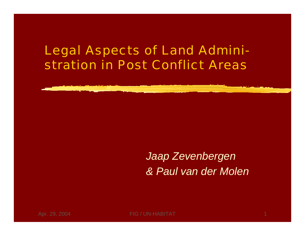#### Legal Aspects of Land Administration in Post Conflict Areas



Apr. 29, 2004 **FIG / UN-HABITAT**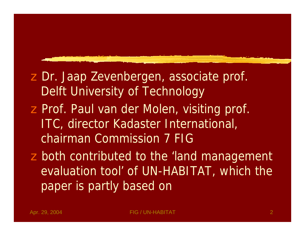## z Dr. Jaap Zevenbergen, associate prof. Delft University of Technology z Prof. Paul van der Molen, visiting prof.

ITC, director Kadaster International, chairman Commission 7 FIG

**z** both contributed to the 'land management evaluation tool' of UN-HABITAT, which the paper is partly based on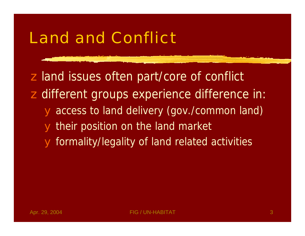## Land and Conflict

z land issues often part/core of conflict z different groups experience difference in: access to land delivery (gov./common land) their position on the land market yformality/legality of land related activities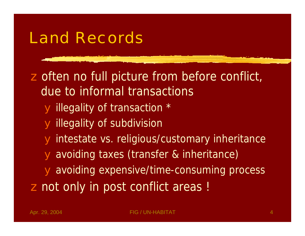## Land Records

z often no full picture from before conflict, due to informal transactions yillegality of transaction \* yillegality of subdivision yintestate vs. religious/customary inheritance avoiding taxes (transfer & inheritance) yavoiding expensive/time-consuming process z not only in post conflict areas !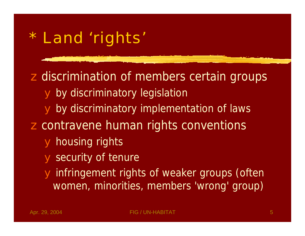# \* Land 'rights'

**z** discrimination of members certain groups y by discriminatory legislation y by discriminatory implementation of laws **z** contravene human rights conventions yhousing rights security of tenure infringement rights of weaker groups (often women, minorities, members 'wrong' group)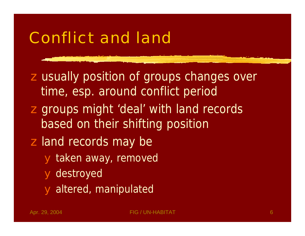## Conflict and land

**z** usually position of groups changes over time, esp. around conflict period **z** groups might 'deal' with land records based on their shifting position z land records may be ytaken away, removed **y** destroyed yaltered, manipulated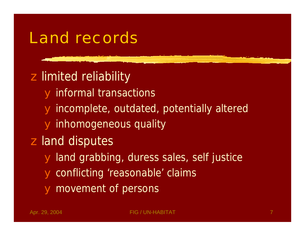### Land records

z limited reliability informal transactions incomplete, outdated, potentially altered yinhomogeneous quality z land disputes land grabbing, duress sales, self justice conflicting 'reasonable' claims movement of persons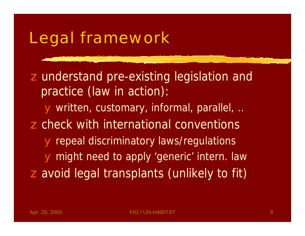# Legal framework

z understand pre-existing legislation and practice (*law in action*): ywritten, customary, informal, parallel, .. z check with international conventions repeal discriminatory laws/regulations might need to apply 'generic' intern. law zavoid legal transplants (unlikely to fit)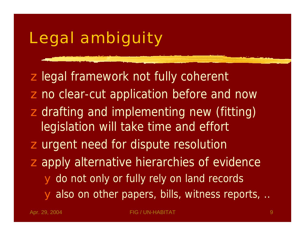## Legal ambiguity

z legal framework not fully coherent z no clear-cut application before and now **z** drafting and implementing new (fitting) legislation will take time and effort **z** urgent need for dispute resolution zapply alternative hierarchies of evidence y do not only or fully rely on land records y also on other papers, bills, witness reports, ...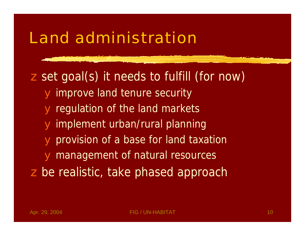zset goal(s) it needs to fulfill (for now) improve land tenure security regulation of the land markets implement urban/rural planning provision of a base for land taxation management of natural resources z be realistic, take phased approach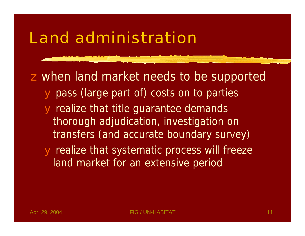zwhen land market needs to be supported pass (large part of) costs on to parties realize that title guarantee demands thorough adjudication, investigation on transfers (and accurate boundary survey) yrealize that systematic process will freeze land market for an extensive period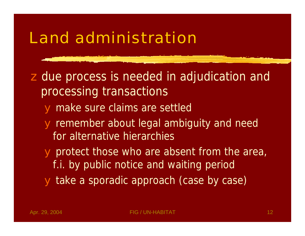z due process is needed in adjudication and processing transactions ymake sure claims are settled remember about legal ambiguity and need for alternative hierarchies yprotect those who are absent from the area, f.i. by public notice and waiting period ytake a sporadic approach (case by case)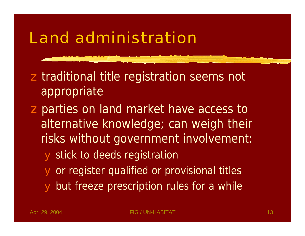**z** traditional title registration seems not appropriate

**z** parties on land market have access to alternative knowledge; can weigh their risks without government involvement: **y** stick to deeds registration y or register qualified or provisional titles y but freeze prescription rules for a while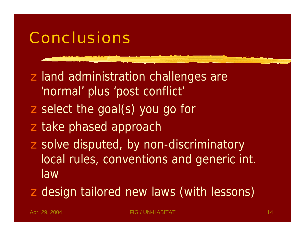## Conclusions

z land administration challenges are 'normal' plus 'post conflict' z select the goal(s) you go for z take phased approach z solve disputed, by non-discriminatory local rules, conventions and generic int. law

**z** design tailored new laws (with lessons)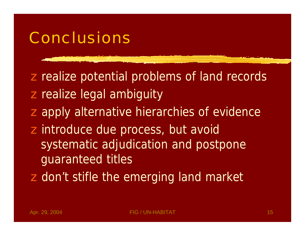## Conclusions

**z realize potential problems of land records z** realize legal ambiguity **z** apply alternative hierarchies of evidence z introduce due process, but avoid systematic adjudication and postpone guaranteed titles **z** don't stifle the emerging land market